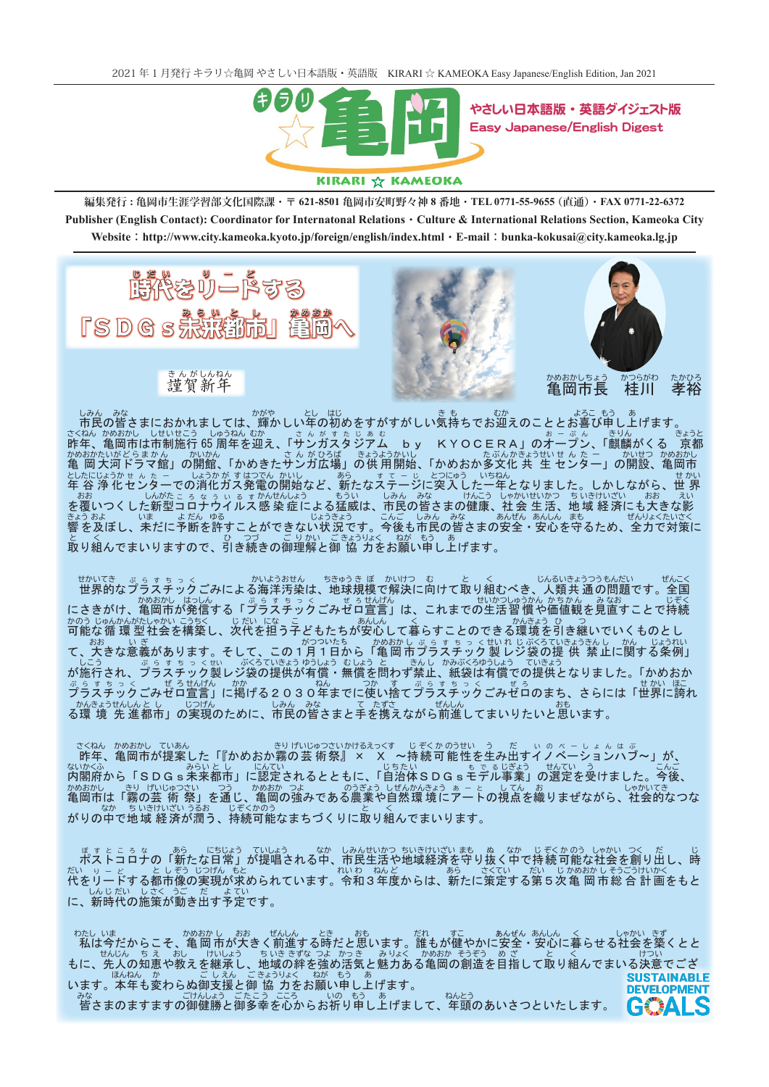

やさしい日本語版・英語ダイジェスト版 Easy Japanese/English Digest

## KIRARI ☆ KAMEOKA

 **0771-22-6372 FAX)**・**直通 (0771-55-9655 TEL**・**番地 8 亀岡市安町野々神 621-8501**・**〒 亀岡市生涯学習部文化国際課 : 編集発行** Publisher (English Contact): Coordinator for Internatonal Relations · Culture & International Relations Section, Kameoka City **Website : http://www.city.kameoka.kyoto.jp/foreign/english/index.html · E-mail : bunka-kokusai@city.kameoka.lg.jp** 



きんが しんねん 賀新 年





亀岡市長 桂 かめおか しちょう 柱川 川 孝裕 たか

市 しみん 民の皆 みな 輝、さまにおかれましては かがや かしい年 とし の初 はじ めをすがすがしい気 き 持 も ちでお迎 むか えのこととお喜 よろこ び申 もう し上 あ 。げます 昨 さくねん :ねん かめおかし しせいせこう しゅうねん むか ーーさ ん が す た じ ぁ む<br>年、亀岡市は市制施行 65 周年を迎え、「サンガスタジアム たじぁぉ<br>**タジアム by KYOCERA」のオープン、「麒麟がくる 京** きょうと 都 亀 かめおかたいがどらまかん かいかん さんがひろば きょうようかいし たぶんかきょうせいせん た ー かいせつ かめおかし<br>亀 岡 大河ドラマ館」の開館、「かめきたサンガ広場」の供 用開始、「かめおか多文化 共 生 センター」の開設、亀岡市 としたにじょうか ± ん。 しょうかが す はつでん かいし ―― あら ―― す て ー じーとつにゅう ―いちねん<br>年 谷 浄 化 センターでの消化ガス発電の開始など、新たなステージに突入した一年となりました。しかしながら、世 せ 界 かい ーおお しんがたころなう いるすかんせんしょう しもうい しみんしみな けんこう しゃかいせいかつ ちいきけいざい おお えい<br>を覆いつくした新型コロナウイルス 感染 症による猛威は、市民の皆さまの健康、社会 生活、地域 経済にも大きな影 きょうおよ いま よだん ゆる じょうきょう こんご しみん みな あんぜん あんしん まも ぜんりょくたいさく<br>響 を及ぼし、未だに予断を許すことができない状況です。今後も市民の皆さまの安全・安心を守るため、全力で対策に と く ひ つづ ごりかい ごきょうりょく ねが もう あ<br>取り組んでまいりますので、引き続きの御理解と御 協 力をお願い申し上げます。

せかいてき ぷ ら す ち っ く かいようおせん ちきゅう き ぼ かいけつ む と く じんるいきょうつうもんだい ぜんこく<br>世界的なプラスチック ごみによる海洋汚染は、地球規模で解決に向けて取り組むべき、人類共 通の問題です。全国 たいかつしゅうかん かめおかし はっしん しょう ぎょう く しゃぜ きせんげん しょく これまでの生活習 慣や価値観を見直すことで持続<br>にさきがけ、亀岡市が発信する「プラスチックごみゼロ宣言」は、これまでの生活習 慣や価値観を見直すことで持続 かのう じゅんかんたしゃかい こうちく しだい になしこ しゅんしんしょく くんしょう ことのできる環境を引き継いでいくものとし<br>可能な循 環 型社会を構築し、次代を担う子どもたちが安心して暮らすことのできる環境を引き継いでいくものとし がつついたち かめおかし ぷ ら す ち っ くせいれ じぶくろていきょうもん しょうれい<br>て、大きな意義があります。そして、この1月1日から「亀 岡市プラスチック 製 レジ袋の提 供 禁止に関する条例」 が施 しこう プ、行され ぷらすちっく ラスチック製 せい レジ袋 ぶくろ の提 ていきょう 供が有 ゆう 償 しょう 無・ む 償 しょう を問 と わず禁 きん 止 し 紙、 かみぶくろ 袋は有 ゆうしょう 償での提 ていきょう かめおか。「供となりました ぷらすちっく ぜろせんげん かか、ねん つか、す ぷらすちっく ぜろ せかい ほこ<br>プラスチックごみゼロ宣言」に掲げる2030年までに使い捨てプラスチックごみゼロのまち、さらには「世界に誇れ る環 かん 境 <sub>きょうせんしん と じっげん しゅん みな しゃて たずさ ぜんしん してまいりたいと思います。<br>「境 先 進都市」の実現のために、市民の皆さまと手を携えながら前進してまいりたいと思います。</sub>

さくねん かめおかし ていあん きり げいじゅつさいかけるえっくす じ ぞくか のうせい う だ い の べ - し ょ ん は ぶ<br>昨年、亀岡市が提案した「『かめおか霧の 芸 術 祭』 × × ~持続 可 能性を生み出すイノベーションハブ〜」が、 内 ないかくふ SDGs未「閣府から みらい 来都 し と に認」市 にんてい 自、「定されるとともに じちたい 治体SDGsモ もでる デル事 じぎょう の選」業 せん 定 てい を受 う 今。けました こんご 、後 かめおかし きり げいじゅつさい つう かめおか つよ しゅうぎょう しぜんかんきょう ぁ ― と してん お しゃかいてき しゃかいてき こう しゃかいてき かめおか つよ このうぎょう しぜんかんきょう ぁ ― と してん お しゃかいてき しゃかいてき 、なか、ちいきけいざい うるお しじぞくかのう しょうとく くく くく くんでまいります。<br>がりの中で地 域 経 済が潤う、持続可能なまちづくりに取り組んでまいります。

<sub>ぼすところな あら にちじょう ていしょう なか しみんせいかつ ちいきけいざい まも ぬ なか じぞくかのう しゃかい つく だ じ<br>ポストコロナの「新たな日常」が提唱される中、市民生活や地域経済を守り抜く中で持続可能な社会を創り出し、時</sub> だい り – ど としぞう じつげん もと あら さくてい だい じかめおかしそうごうけいかく<br>代をリードする都市像の実現が求められています。令和3年度からは、新たに策定する第5次亀 岡市総 合 計 画をもと しんじだい しさく うご だ よてい<br>**に、新時代の施策が動き出す予定です**。

私 わたし は今 いま 亀、だからこそ かめ 岡 おか 市 し が大 おお きく前 ぜん 進 しん する時 とき だと思 おも 誰。います だれ もが健 すこ 安・やかに安全 あん 心 しん に暮 く らせる社 しゃ 会 かい を築 きず くとと せん じん ち え おし けい しょう あんぜんぅ ぉいききなっょ かっき ぉりょく かめおか そうぞう め ざ と く けつい<br>**し、地域の絆を強め活気と魅力ある亀岡の創造を目指して取り組んでまいる決意でござ** もに、先人の知恵や教えを継承 にんねん かいしょう ごきょうりょく ねがもう あいます。<br>います。本年も変わらぬ御支援と御 協 力をお願い申し上げます。 **SUSTAINARLE DEVELOPMENT** 

みな ごけんしょう ごたこう こころ いの もう あ ねんとう<br>皆さまのますますの御健勝と御多幸を心からお祈り申し上げまして、年頭のあいさつといたします。